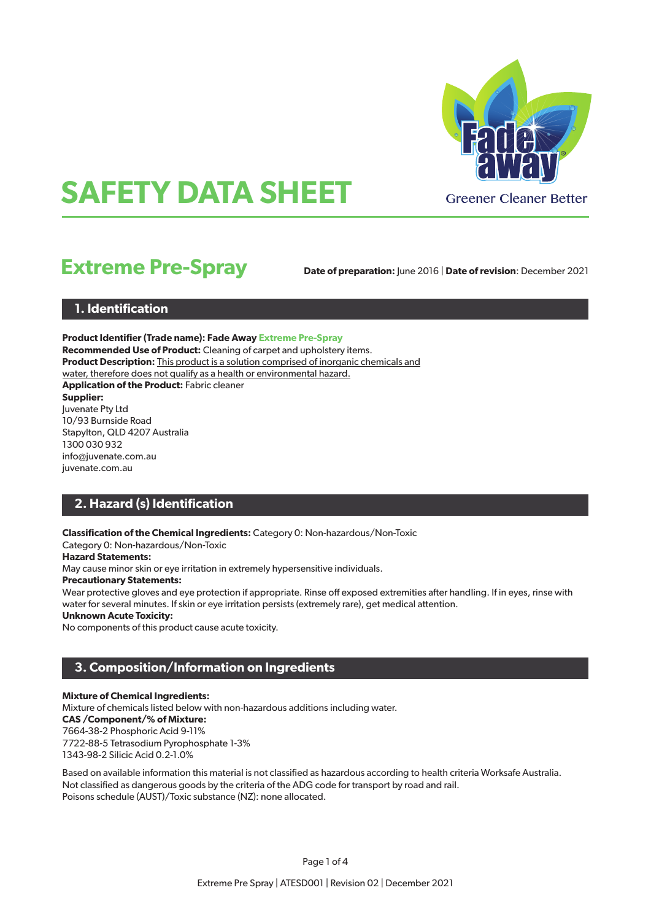

# **SAFETY DATA SHEET**

# **Extreme Pre-Spray**

**Date of preparation:** June 2016 | **Date of revision**: December 2021

# **1. Identification**

**Product Identifier (Trade name): Fade Away Extreme Pre-Spray Recommended Use of Product:** Cleaning of carpet and upholstery items. **Product Description: This product is a solution comprised of inorganic chemicals and** water, therefore does not qualify as a health or environmental hazard. **Application of the Product:** Fabric cleaner **Supplier:** Juvenate Pty Ltd 10/93 Burnside Road Stapylton, QLD 4207 Australia 1300 030 932 info@juvenate.com.au juvenate.com.au

# **2. Hazard (s) Identification**

**Classification of the Chemical Ingredients:** Category 0: Non-hazardous/Non-Toxic

Category 0: Non-hazardous/Non-Toxic

#### **Hazard Statements:**

May cause minor skin or eye irritation in extremely hypersensitive individuals.

#### **Precautionary Statements:**

Wear protective gloves and eye protection if appropriate. Rinse off exposed extremities after handling. If in eyes, rinse with water for several minutes. If skin or eye irritation persists (extremely rare), get medical attention.

#### **Unknown Acute Toxicity:**

No components of this product cause acute toxicity.

# **3. Composition/Information on Ingredients**

#### **Mixture of Chemical Ingredients:**

Mixture of chemicals listed below with non-hazardous additions including water. **CAS /Component/% of Mixture:** 7664-38-2 Phosphoric Acid 9-11% 7722-88-5 Tetrasodium Pyrophosphate 1-3% 1343-98-2 Silicic Acid 0.2-1.0%

Based on available information this material is not classified as hazardous according to health criteria Worksafe Australia. Not classified as dangerous goods by the criteria of the ADG code for transport by road and rail. Poisons schedule (AUST)/Toxic substance (NZ): none allocated.

Page 1 of 4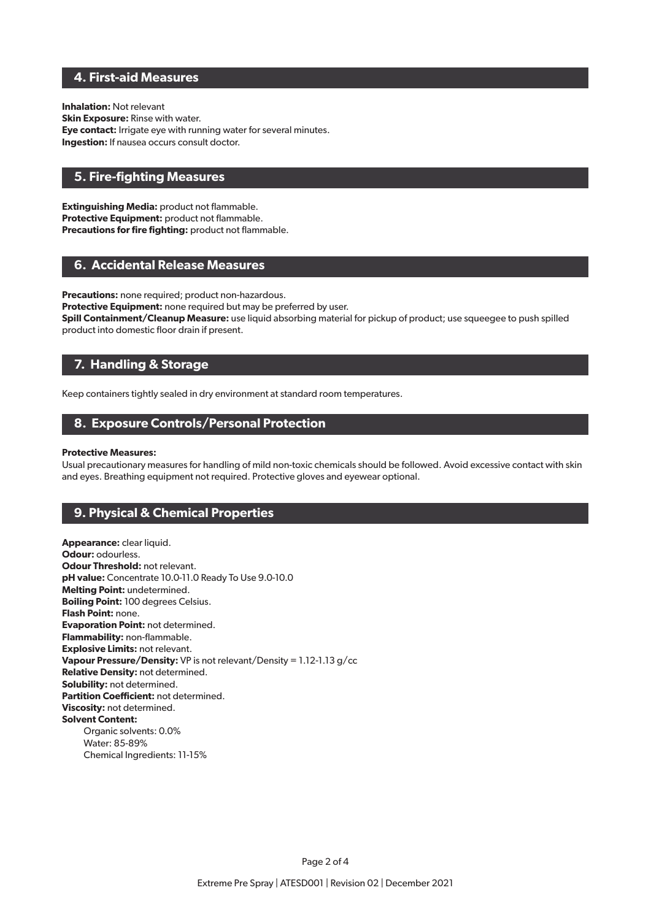# **4. First-aid Measures**

**Inhalation:** Not relevant **Skin Exposure:** Rinse with water. **Eye contact:** Irrigate eye with running water for several minutes. **Ingestion:** If nausea occurs consult doctor.

# **5. Fire-fighting Measures**

**Extinguishing Media:** product not flammable. **Protective Equipment:** product not flammable. **Precautions for fire fighting:** product not flammable.

#### **6. Accidental Release Measures**

**Precautions:** none required; product non-hazardous.

**Protective Equipment:** none required but may be preferred by user.

**Spill Containment/Cleanup Measure:** use liquid absorbing material for pickup of product; use squeegee to push spilled product into domestic floor drain if present.

# **7. Handling & Storage**

Keep containers tightly sealed in dry environment at standard room temperatures.

### **8. Exposure Controls/Personal Protection**

#### **Protective Measures:**

Usual precautionary measures for handling of mild non-toxic chemicals should be followed. Avoid excessive contact with skin and eyes. Breathing equipment not required. Protective gloves and eyewear optional.

# **9. Physical & Chemical Properties**

**Appearance:** clear liquid. **Odour: odourless. Odour Threshold:** not relevant. **pH value:** Concentrate 10.0-11.0 Ready To Use 9.0-10.0 **Melting Point:** undetermined. **Boiling Point:** 100 degrees Celsius. **Flash Point:** none. **Evaporation Point:** not determined. **Flammability:** non-flammable. **Explosive Limits:** not relevant. **Vapour Pressure/Density:** VP is not relevant/Density = 1.12-1.13 g/cc **Relative Density:** not determined. **Solubility:** not determined. **Partition Coefficient:** not determined. **Viscosity:** not determined. **Solvent Content:** Organic solvents: 0.0% Water: 85-89% Chemical Ingredients: 11-15%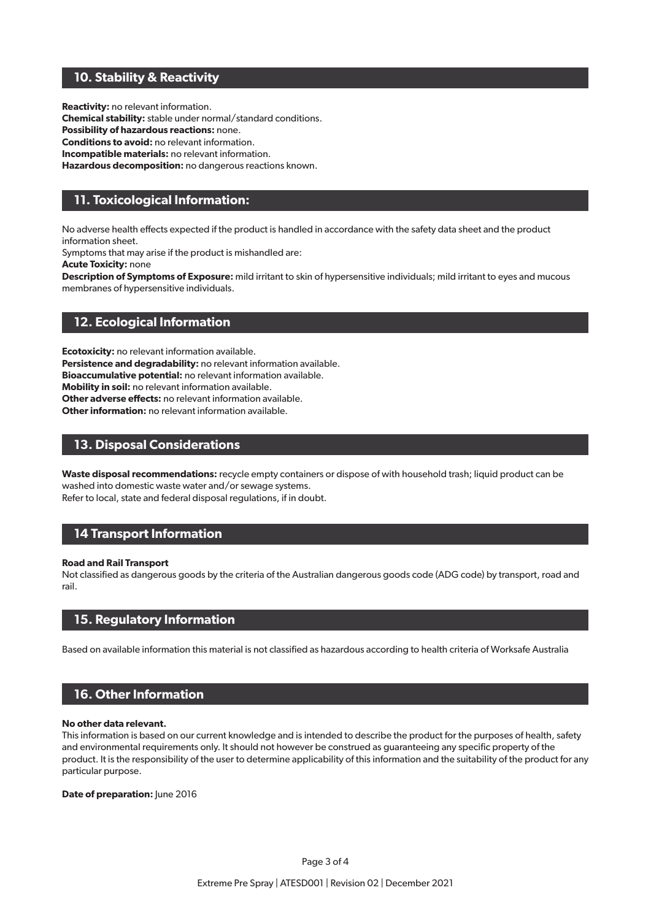# **10. Stability & Reactivity**

**Reactivity:** no relevant information. **Chemical stability:** stable under normal/standard conditions. **Possibility of hazardous reactions:** none. **Conditions to avoid:** no relevant information. **Incompatible materials:** no relevant information. **Hazardous decomposition:** no dangerous reactions known.

# **11. Toxicological Information:**

No adverse health effects expected if the product is handled in accordance with the safety data sheet and the product information sheet.

Symptoms that may arise if the product is mishandled are:

**Acute Toxicity:** none

**Description of Symptoms of Exposure:** mild irritant to skin of hypersensitive individuals; mild irritant to eyes and mucous membranes of hypersensitive individuals.

# **12. Ecological Information**

**Ecotoxicity:** no relevant information available.

**Persistence and degradability:** no relevant information available.

**Bioaccumulative potential:** no relevant information available.

**Mobility in soil:** no relevant information available.

**Other adverse effects:** no relevant information available.

**Other information:** no relevant information available.

# **13. Disposal Considerations**

**Waste disposal recommendations:** recycle empty containers or dispose of with household trash; liquid product can be washed into domestic waste water and/or sewage systems.

Refer to local, state and federal disposal regulations, if in doubt.

# **14 Transport Information**

#### **Road and Rail Transport**

Not classified as dangerous goods by the criteria of the Australian dangerous goods code (ADG code) by transport, road and rail.

# **15. Regulatory Information**

Based on available information this material is not classified as hazardous according to health criteria of Worksafe Australia

# **16. Other Information**

#### **No other data relevant.**

This information is based on our current knowledge and is intended to describe the product for the purposes of health, safety and environmental requirements only. It should not however be construed as guaranteeing any specific property of the product. It is the responsibility of the user to determine applicability of this information and the suitability of the product for any particular purpose.

**Date of preparation:** June 2016

Page 3 of 4